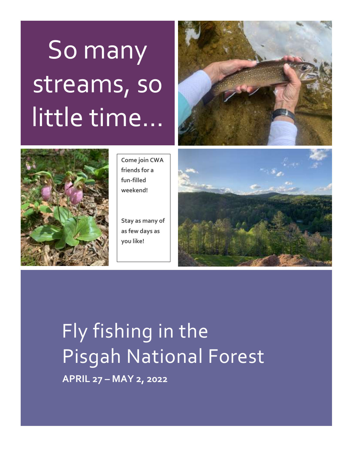# So many streams, so little time…





**Come join CWA friends for a fun-filled weekend!**

**Stay as many of as few days as you like!**



 Fly fishing in the Pisgah National Forest **APRIL 27 – MAY 2, 2022**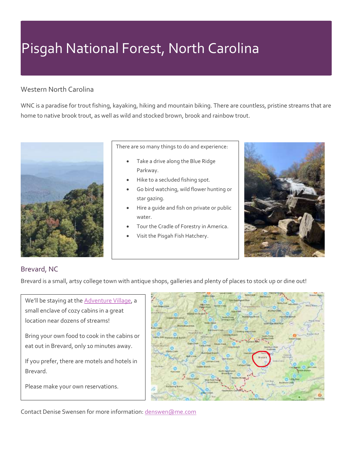# Pisgah National Forest, North Carolina

#### Western North Carolina

WNC is a paradise for trout fishing, kayaking, hiking and mountain biking. There are countless, pristine streams that are home to native brook trout, as well as wild and stocked brown, brook and rainbow trout.



There are so many things to do and experience:

- Take a drive along the Blue Ridge Parkway.
- Hike to a secluded fishing spot.
- Go bird watching, wild flower hunting or star gazing.
- Hire a guide and fish on private or public water.
- Tour the Cradle of Forestry in America.
- Visit the Pisgah Fish Hatchery.



#### Brevard, NC

Brevard is a small, artsy college town with antique shops, galleries and plenty of places to stock up or dine out!

We'll be staying at the **Adventure Village**, a small enclave of cozy cabins in a great location near dozens of streams!

Bring your own food to cook in the cabins or eat out in Brevard, only 10 minutes away.

If you prefer, there are motels and hotels in Brevard.

Please make your own reservations.



Contact Denise Swensen for more information[: denswen@me.com](mailto:denswen@me.com)